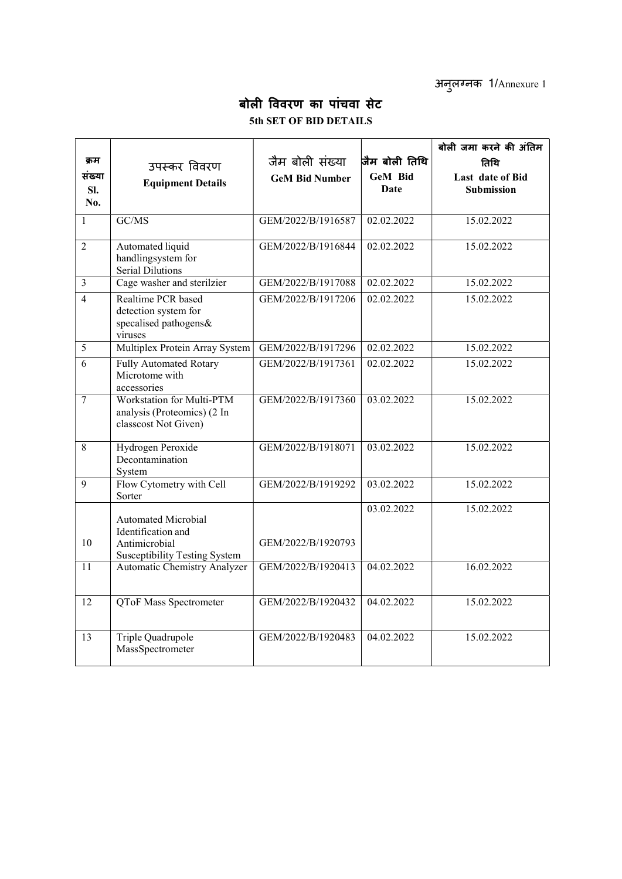अनुलग्नक 1/Annexure 1

## बोली विवरण का पांचवा सेट 5th SET OF BID DETAILS

|                          |                                                                                                           |                       |                 | बोली जमा करने की अंतिम                |
|--------------------------|-----------------------------------------------------------------------------------------------------------|-----------------------|-----------------|---------------------------------------|
| क्रम                     | उपस्कर विवरण                                                                                              | जैम बोली संख्या       | जैम बोली तिथि   | तिथि                                  |
| सख्या<br>SI.<br>No.      | <b>Equipment Details</b>                                                                                  | <b>GeM Bid Number</b> | GeM Bid<br>Date | Last date of Bid<br><b>Submission</b> |
| 1                        | GC/MS                                                                                                     | GEM/2022/B/1916587    | 02.02.2022      | 15.02.2022                            |
| $\overline{2}$           | Automated liquid<br>handlingsystem for<br>Serial Dilutions                                                | GEM/2022/B/1916844    | 02.02.2022      | 15.02.2022                            |
| $\mathfrak{Z}$           | Cage washer and sterilzier                                                                                | GEM/2022/B/1917088    | 02.02.2022      | 15.02.2022                            |
| $\overline{\mathcal{L}}$ | Realtime PCR based<br>detection system for<br>specalised pathogens&<br>viruses                            | GEM/2022/B/1917206    | 02.02.2022      | 15.02.2022                            |
| 5                        | Multiplex Protein Array System                                                                            | GEM/2022/B/1917296    | 02.02.2022      | 15.02.2022                            |
| 6                        | Fully Automated Rotary<br>Microtome with<br>accessories                                                   | GEM/2022/B/1917361    | 02.02.2022      | 15.02.2022                            |
| $\overline{7}$           | Workstation for Multi-PTM<br>analysis (Proteomics) (2 In<br>classcost Not Given)                          | GEM/2022/B/1917360    | 03.02.2022      | 15.02.2022                            |
| 8                        | Hydrogen Peroxide<br>Decontamination<br>System                                                            | GEM/2022/B/1918071    | 03.02.2022      | 15.02.2022                            |
| 9                        | Flow Cytometry with Cell<br>Sorter                                                                        | GEM/2022/B/1919292    | 03.02.2022      | 15.02.2022                            |
| 10                       | <b>Automated Microbial</b><br>Identification and<br>Antimicrobial<br><b>Susceptibility Testing System</b> | GEM/2022/B/1920793    | 03.02.2022      | 15.02.2022                            |
| 11                       | <b>Automatic Chemistry Analyzer</b>                                                                       | GEM/2022/B/1920413    | 04.02.2022      | 16.02.2022                            |
| 12                       | QToF Mass Spectrometer                                                                                    | GEM/2022/B/1920432    | 04.02.2022      | 15.02.2022                            |
| 13                       | Triple Quadrupole<br>MassSpectrometer                                                                     | GEM/2022/B/1920483    | 04.02.2022      | 15.02.2022                            |